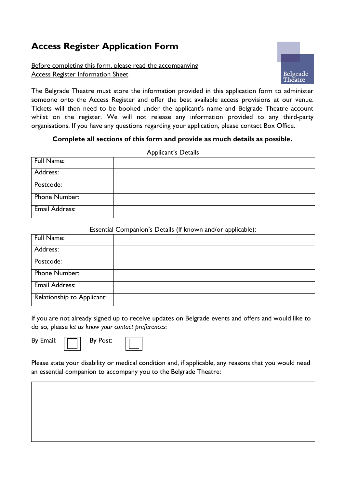## **Access Register Application Form**

## Before completing this form, please read the accompanying Access Register Information Sheet



The Belgrade Theatre must store the information provided in this application form to administer someone onto the Access Register and offer the best available access provisions at our venue. Tickets will then need to be booked under the applicant's name and Belgrade Theatre account whilst on the register. We will not release any information provided to any third-party organisations. If you have any questions regarding your application, please contact Box Office.

## **Complete all sections of this form and provide as much details as possible.**

Applicant's Details

|                   | . . |
|-------------------|-----|
| <b>Full Name:</b> |     |
| Address:          |     |
| Postcode:         |     |
| Phone Number:     |     |
| Email Address:    |     |

## Essential Companion's Details (If known and/or applicable):

|                            |  | . . |  |
|----------------------------|--|-----|--|
| Full Name:                 |  |     |  |
| Address:                   |  |     |  |
| Postcode:                  |  |     |  |
| Phone Number:              |  |     |  |
| <b>Email Address:</b>      |  |     |  |
| Relationship to Applicant: |  |     |  |

If you are not already signed up to receive updates on Belgrade events and offers and would like to do so, please *let us know your contact preferences:* 

By Email:  $|\Box|$  By Post:



Please state your disability or medical condition and, if applicable, any reasons that you would need an essential companion to accompany you to the Belgrade Theatre: